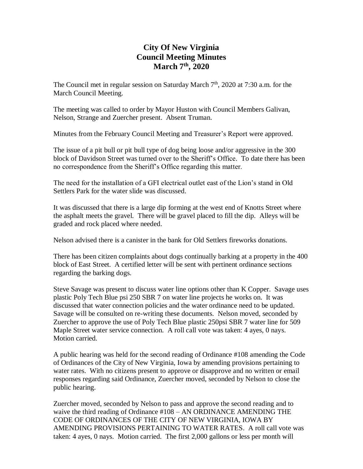# **City Of New Virginia Council Meeting Minutes March 7th, 2020**

The Council met in regular session on Saturday March 7<sup>th</sup>, 2020 at 7:30 a.m. for the March Council Meeting.

The meeting was called to order by Mayor Huston with Council Members Galivan, Nelson, Strange and Zuercher present. Absent Truman.

Minutes from the February Council Meeting and Treasurer's Report were approved.

The issue of a pit bull or pit bull type of dog being loose and/or aggressive in the 300 block of Davidson Street was turned over to the Sheriff's Office. To date there has been no correspondence from the Sheriff's Office regarding this matter.

The need for the installation of a GFI electrical outlet east of the Lion's stand in Old Settlers Park for the water slide was discussed.

It was discussed that there is a large dip forming at the west end of Knotts Street where the asphalt meets the gravel. There will be gravel placed to fill the dip. Alleys will be graded and rock placed where needed.

Nelson advised there is a canister in the bank for Old Settlers fireworks donations.

There has been citizen complaints about dogs continually barking at a property in the 400 block of East Street. A certified letter will be sent with pertinent ordinance sections regarding the barking dogs.

Steve Savage was present to discuss water line options other than K Copper. Savage uses plastic Poly Tech Blue psi 250 SBR 7 on water line projects he works on. It was discussed that water connection policies and the water ordinance need to be updated. Savage will be consulted on re-writing these documents. Nelson moved, seconded by Zuercher to approve the use of Poly Tech Blue plastic 250psi SBR 7 water line for 509 Maple Street water service connection. A roll call vote was taken: 4 ayes, 0 nays. Motion carried.

A public hearing was held for the second reading of Ordinance #108 amending the Code of Ordinances of the City of New Virginia, Iowa by amending provisions pertaining to water rates. With no citizens present to approve or disapprove and no written or email responses regarding said Ordinance, Zuercher moved, seconded by Nelson to close the public hearing.

Zuercher moved, seconded by Nelson to pass and approve the second reading and to waive the third reading of Ordinance #108 – AN ORDINANCE AMENDING THE CODE OF ORDINANCES OF THE CITY OF NEW VIRGINIA, IOWA BY AMENDING PROVISIONS PERTAINING TO WATER RATES. A roll call vote was taken: 4 ayes, 0 nays. Motion carried. The first 2,000 gallons or less per month will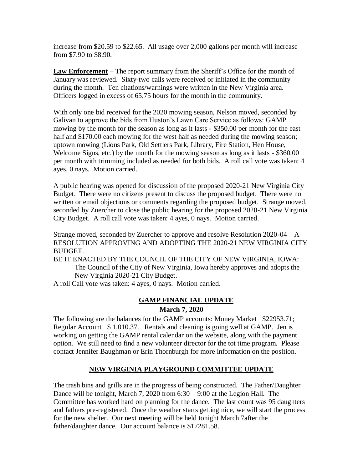increase from \$20.59 to \$22.65. All usage over 2,000 gallons per month will increase from \$7.90 to \$8.90.

**Law Enforcement** – The report summary from the Sheriff's Office for the month of January was reviewed. Sixty-two calls were received or initiated in the community during the month. Ten citations/warnings were written in the New Virginia area. Officers logged in excess of 65.75 hours for the month in the community.

With only one bid received for the 2020 mowing season, Nelson moved, seconded by Galivan to approve the bids from Huston's Lawn Care Service as follows: GAMP mowing by the month for the season as long as it lasts - \$350.00 per month for the east half and \$170.00 each mowing for the west half as needed during the mowing season; uptown mowing (Lions Park, Old Settlers Park, Library, Fire Station, Hen House, Welcome Signs, etc.) by the month for the mowing season as long as it lasts - \$360.00 per month with trimming included as needed for both bids. A roll call vote was taken: 4 ayes, 0 nays. Motion carried.

A public hearing was opened for discussion of the proposed 2020-21 New Virginia City Budget. There were no citizens present to discuss the proposed budget. There were no written or email objections or comments regarding the proposed budget. Strange moved, seconded by Zuercher to close the public hearing for the proposed 2020-21 New Virginia City Budget. A roll call vote was taken: 4 ayes, 0 nays. Motion carried.

Strange moved, seconded by Zuercher to approve and resolve Resolution 2020-04 – A RESOLUTION APPROVING AND ADOPTING THE 2020-21 NEW VIRGINIA CITY BUDGET.

BE IT ENACTED BY THE COUNCIL OF THE CITY OF NEW VIRGINIA, IOWA: The Council of the City of New Virginia, Iowa hereby approves and adopts the New Virginia 2020-21 City Budget.

A roll Call vote was taken: 4 ayes, 0 nays. Motion carried.

## **GAMP FINANCIAL UPDATE March 7, 2020**

The following are the balances for the GAMP accounts: Money Market \$22953.71; Regular Account \$ 1,010.37. Rentals and cleaning is going well at GAMP. Jen is working on getting the GAMP rental calendar on the website, along with the payment option. We still need to find a new volunteer director for the tot time program. Please contact Jennifer Baughman or Erin Thornburgh for more information on the position.

## **NEW VIRGINIA PLAYGROUND COMMITTEE UPDATE**

The trash bins and grills are in the progress of being constructed. The Father/Daughter Dance will be tonight, March 7, 2020 from 6:30 – 9:00 at the Legion Hall. The Committee has worked hard on planning for the dance. The last count was 95 daughters and fathers pre-registered. Once the weather starts getting nice, we will start the process for the new shelter. Our next meeting will be held tonight March 7after the father/daughter dance. Our account balance is \$17281.58.